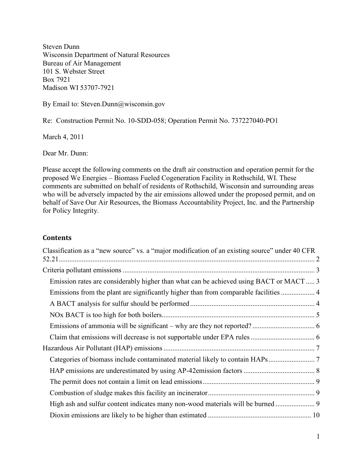Steven Dunn Wisconsin Department of Natural Resources Bureau of Air Management 101 S. Webster Street Box 7921 Madison WI 53707-7921

By Email to: Steven.Dunn@wisconsin.gov

Re: Construction Permit No. 10-SDD-058; Operation Permit No. 737227040-PO1

March 4, 2011

Dear Mr. Dunn:

Please accept the following comments on the draft air construction and operation permit for the proposed We Energies – Biomass Fueled Cogeneration Facility in Rothschild, WI. These comments are submitted on behalf of residents of Rothschild, Wisconsin and surrounding areas who will be adversely impacted by the air emissions allowed under the proposed permit, and on behalf of Save Our Air Resources, the Biomass Accountability Project, Inc. and the Partnership for Policy Integrity.

#### **Contents**

| Classification as a "new source" vs. a "major modification of an existing source" under 40 CFR |  |
|------------------------------------------------------------------------------------------------|--|
|                                                                                                |  |
| Emission rates are considerably higher than what can be achieved using BACT or MACT 3          |  |
|                                                                                                |  |
|                                                                                                |  |
|                                                                                                |  |
|                                                                                                |  |
|                                                                                                |  |
|                                                                                                |  |
|                                                                                                |  |
|                                                                                                |  |
|                                                                                                |  |
|                                                                                                |  |
|                                                                                                |  |
|                                                                                                |  |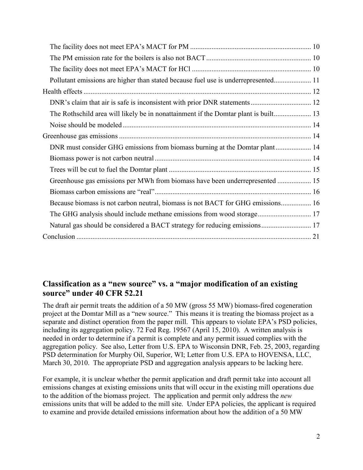| Pollutant emissions are higher than stated because fuel use is underrepresented 11 |  |
|------------------------------------------------------------------------------------|--|
|                                                                                    |  |
|                                                                                    |  |
|                                                                                    |  |
|                                                                                    |  |
|                                                                                    |  |
| DNR must consider GHG emissions from biomass burning at the Domtar plant 14        |  |
|                                                                                    |  |
|                                                                                    |  |
| Greenhouse gas emissions per MWh from biomass have been underrepresented  15       |  |
|                                                                                    |  |
| Because biomass is not carbon neutral, biomass is not BACT for GHG emissions 16    |  |
|                                                                                    |  |
| Natural gas should be considered a BACT strategy for reducing emissions 17         |  |
|                                                                                    |  |

## **Classification as a "new source" vs. a "major modification of an existing source" under 40 CFR 52.21**

The draft air permit treats the addition of a 50 MW (gross 55 MW) biomass-fired cogeneration project at the Domtar Mill as a "new source." This means it is treating the biomass project as a separate and distinct operation from the paper mill. This appears to violate EPA's PSD policies, including its aggregation policy. 72 Fed Reg. 19567 (April 15, 2010). A written analysis is needed in order to determine if a permit is complete and any permit issued complies with the aggregation policy. See also, Letter from U.S. EPA to Wisconsin DNR, Feb. 25, 2003, regarding PSD determination for Murphy Oil, Superior, WI; Letter from U.S. EPA to HOVENSA, LLC, March 30, 2010. The appropriate PSD and aggregation analysis appears to be lacking here.

For example, it is unclear whether the permit application and draft permit take into account all emissions changes at existing emissions units that will occur in the existing mill operations due to the addition of the biomass project. The application and permit only address the *new* emissions units that will be added to the mill site. Under EPA policies, the applicant is required to examine and provide detailed emissions information about how the addition of a 50 MW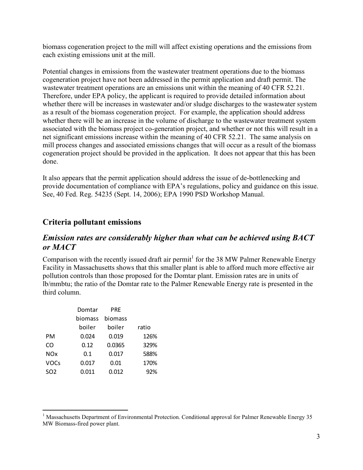biomass cogeneration project to the mill will affect existing operations and the emissions from each existing emissions unit at the mill.

Potential changes in emissions from the wastewater treatment operations due to the biomass cogeneration project have not been addressed in the permit application and draft permit. The wastewater treatment operations are an emissions unit within the meaning of 40 CFR 52.21. Therefore, under EPA policy, the applicant is required to provide detailed information about whether there will be increases in wastewater and/or sludge discharges to the wastewater system as a result of the biomass cogeneration project. For example, the application should address whether there will be an increase in the volume of discharge to the wastewater treatment system associated with the biomass project co-generation project, and whether or not this will result in a net significant emissions increase within the meaning of 40 CFR 52.21. The same analysis on mill process changes and associated emissions changes that will occur as a result of the biomass cogeneration project should be provided in the application. It does not appear that this has been done.

It also appears that the permit application should address the issue of de-bottlenecking and provide documentation of compliance with EPA's regulations, policy and guidance on this issue. See, 40 Fed. Reg. 54235 (Sept. 14, 2006); EPA 1990 PSD Workshop Manual.

## **Criteria pollutant emissions**

### *Emission rates are considerably higher than what can be achieved using BACT or MACT*

Comparison with the recently issued draft air permit<sup>1</sup> for the 38 MW Palmer Renewable Energy Facility in Massachusetts shows that this smaller plant is able to afford much more effective air pollution controls than those proposed for the Domtar plant. Emission rates are in units of lb/mmbtu; the ratio of the Domtar rate to the Palmer Renewable Energy rate is presented in the third column.

|                 | Domtar  | PRE     |       |
|-----------------|---------|---------|-------|
|                 | biomass | biomass |       |
|                 | boiler  | boiler  | ratio |
| PМ              | 0.024   | 0.019   | 126%  |
| CO              | 0.12    | 0.0365  | 329%  |
| <b>NOx</b>      | 0.1     | 0.017   | 588%  |
| <b>VOCs</b>     | 0.017   | 0.01    | 170%  |
| SO <sub>2</sub> | 0.011   | 0.012   | 92%   |

<u>.</u>

<sup>&</sup>lt;sup>1</sup> Massachusetts Department of Environmental Protection. Conditional approval for Palmer Renewable Energy 35 MW Biomass-fired power plant.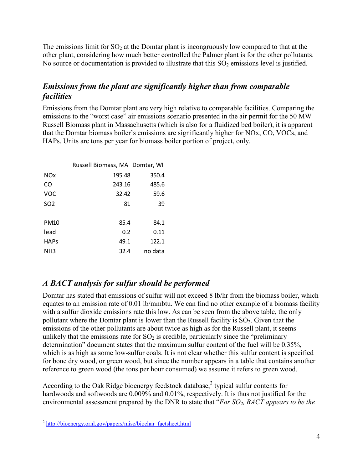The emissions limit for  $SO<sub>2</sub>$  at the Domtar plant is incongruously low compared to that at the other plant, considering how much better controlled the Palmer plant is for the other pollutants. No source or documentation is provided to illustrate that this  $SO<sub>2</sub>$  emissions level is justified.

# *Emissions from the plant are significantly higher than from comparable facilities*

Emissions from the Domtar plant are very high relative to comparable facilities. Comparing the emissions to the "worst case" air emissions scenario presented in the air permit for the 50 MW Russell Biomass plant in Massachusetts (which is also for a fluidized bed boiler), it is apparent that the Domtar biomass boiler's emissions are significantly higher for NOx, CO, VOCs, and HAPs. Units are tons per year for biomass boiler portion of project, only.

|                 | Russell Biomass, MA Domtar, WI |         |
|-----------------|--------------------------------|---------|
| NOx             | 195.48                         | 350.4   |
| CO              | 243.16                         | 485.6   |
| <b>VOC</b>      | 32.42                          | 59.6    |
| SO <sub>2</sub> | 81                             | 39      |
|                 |                                |         |
| PM10            | 85.4                           | 84.1    |
| lead            | 0.2                            | 0.11    |
| <b>HAPs</b>     | 49.1                           | 122.1   |
| NH3             | 32.4                           | no data |

# *A BACT analysis for sulfur should be performed*

Domtar has stated that emissions of sulfur will not exceed 8 lb/hr from the biomass boiler, which equates to an emission rate of 0.01 lb/mmbtu. We can find no other example of a biomass facility with a sulfur dioxide emissions rate this low. As can be seen from the above table, the only pollutant where the Domtar plant is lower than the Russell facility is  $SO_2$ . Given that the emissions of the other pollutants are about twice as high as for the Russell plant, it seems unlikely that the emissions rate for  $SO<sub>2</sub>$  is credible, particularly since the "preliminary" determination" document states that the maximum sulfur content of the fuel will be 0.35%, which is as high as some low-sulfur coals. It is not clear whether this sulfur content is specified for bone dry wood, or green wood, but since the number appears in a table that contains another reference to green wood (the tons per hour consumed) we assume it refers to green wood.

According to the Oak Ridge bioenergy feedstock database, $2$  typical sulfur contents for hardwoods and softwoods are 0.009% and 0.01%, respectively. It is thus not justified for the environmental assessment prepared by the DNR to state that "*For SO2, BACT appears to be the* 

<sup>-&</sup>lt;br><sup>2</sup> http://bioenergy.ornl.gov/papers/misc/biochar\_factsheet.html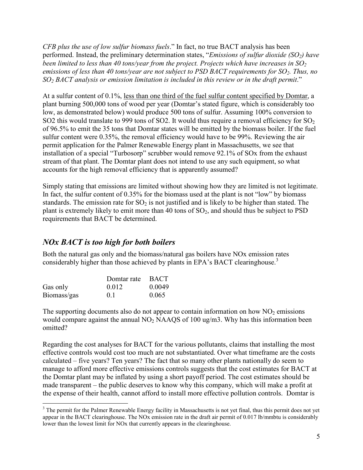*CFB plus the use of low sulfur biomass fuels*." In fact, no true BACT analysis has been performed. Instead, the preliminary determination states, "*Emissions of sulfur dioxide (SO2) have been limited to less than 40 tons/year from the project. Projects which have increases in SO<sup>2</sup> emissions of less than 40 tons/year are not subject to PSD BACT requirements for SO2. Thus, no SO2 BACT analysis or emission limitation is included in this review or in the draft permit*."

At a sulfur content of 0.1%, less than one third of the fuel sulfur content specified by Domtar, a plant burning 500,000 tons of wood per year (Domtar's stated figure, which is considerably too low, as demonstrated below) would produce 500 tons of sulfur. Assuming 100% conversion to SO2 this would translate to 999 tons of SO2. It would thus require a removal efficiency for  $SO_2$ of 96.5% to emit the 35 tons that Domtar states will be emitted by the biomass boiler. If the fuel sulfur content were 0.35%, the removal efficiency would have to be 99%. Reviewing the air permit application for the Palmer Renewable Energy plant in Massachusetts, we see that installation of a special "Turbosorp" scrubber would remove 92.1% of SOx from the exhaust stream of that plant. The Domtar plant does not intend to use any such equipment, so what accounts for the high removal efficiency that is apparently assumed?

Simply stating that emissions are limited without showing how they are limited is not legitimate. In fact, the sulfur content of 0.35% for the biomass used at the plant is not "low" by biomass standards. The emission rate for  $SO_2$  is not justified and is likely to be higher than stated. The plant is extremely likely to emit more than 40 tons of  $SO<sub>2</sub>$ , and should thus be subject to PSD requirements that BACT be determined.

# *NOx BACT is too high for both boilers*

Both the natural gas only and the biomass/natural gas boilers have NOx emission rates considerably higher than those achieved by plants in EPA's BACT clearinghouse.<sup>3</sup>

|             | Domtar rate BACT |        |
|-------------|------------------|--------|
| Gas only    | 0.012            | 0.0049 |
| Biomass/gas | 0.1              | 0.065  |

The supporting documents also do not appear to contain information on how  $NO<sub>2</sub>$  emissions would compare against the annual NO<sub>2</sub> NAAQS of 100 ug/m3. Why has this information been omitted?

Regarding the cost analyses for BACT for the various pollutants, claims that installing the most effective controls would cost too much are not substantiated. Over what timeframe are the costs calculated – five years? Ten years? The fact that so many other plants nationally do seem to manage to afford more effective emissions controls suggests that the cost estimates for BACT at the Domtar plant may be inflated by using a short payoff period. The cost estimates should be made transparent – the public deserves to know why this company, which will make a profit at the expense of their health, cannot afford to install more effective pollution controls. Domtar is

 $\overline{a}$  $3$  The permit for the Palmer Renewable Energy facility in Massachusetts is not yet final, thus this permit does not yet appear in the BACT clearinghouse. The NOx emission rate in the draft air permit of 0.017 lb/mmbtu is considerably lower than the lowest limit for NOx that currently appears in the clearinghouse.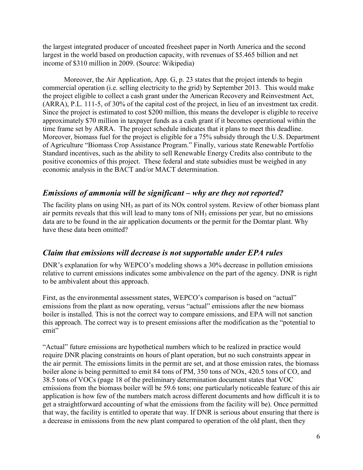the largest integrated producer of uncoated freesheet paper in North America and the second largest in the world based on production capacity, with revenues of \$5.465 billion and net income of \$310 million in 2009. (Source: Wikipedia)

 Moreover, the Air Application, App. G, p. 23 states that the project intends to begin commercial operation (i.e. selling electricity to the grid) by September 2013. This would make the project eligible to collect a cash grant under the American Recovery and Reinvestment Act, (ARRA), P.L. 111-5, of 30% of the capital cost of the project, in lieu of an investment tax credit. Since the project is estimated to cost \$200 million, this means the developer is eligible to receive approximately \$70 million in taxpayer funds as a cash grant if it becomes operational within the time frame set by ARRA. The project schedule indicates that it plans to meet this deadline. Moreover, biomass fuel for the project is eligible for a 75% subsidy through the U.S. Department of Agriculture "Biomass Crop Assistance Program." Finally, various state Renewable Portfolio Standard incentives, such as the ability to sell Renewable Energy Credits also contribute to the positive economics of this project. These federal and state subsidies must be weighed in any economic analysis in the BACT and/or MACT determination.

## *Emissions of ammonia will be significant – why are they not reported?*

The facility plans on using  $NH_3$  as part of its NOx control system. Review of other biomass plant air permits reveals that this will lead to many tons of  $NH<sub>3</sub>$  emissions per year, but no emissions data are to be found in the air application documents or the permit for the Domtar plant. Why have these data been omitted?

### *Claim that emissions will decrease is not supportable under EPA rules*

DNR's explanation for why WEPCO's modeling shows a 30% decrease in pollution emissions relative to current emissions indicates some ambivalence on the part of the agency. DNR is right to be ambivalent about this approach.

First, as the environmental assessment states, WEPCO's comparison is based on "actual" emissions from the plant as now operating, versus "actual" emissions after the new biomass boiler is installed. This is not the correct way to compare emissions, and EPA will not sanction this approach. The correct way is to present emissions after the modification as the "potential to emit"

"Actual" future emissions are hypothetical numbers which to be realized in practice would require DNR placing constraints on hours of plant operation, but no such constraints appear in the air permit. The emissions limits in the permit are set, and at those emission rates, the biomass boiler alone is being permitted to emit 84 tons of PM, 350 tons of NOx, 420.5 tons of CO, and 38.5 tons of VOCs (page 18 of the preliminary determination document states that VOC emissions from the biomass boiler will be 59.6 tons; one particularly noticeable feature of this air application is how few of the numbers match across different documents and how difficult it is to get a straightforward accounting of what the emissions from the facility will be). Once permitted that way, the facility is entitled to operate that way. If DNR is serious about ensuring that there is a decrease in emissions from the new plant compared to operation of the old plant, then they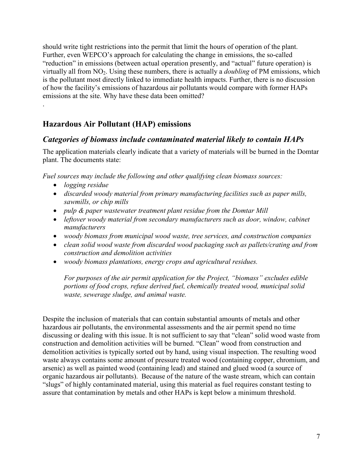should write tight restrictions into the permit that limit the hours of operation of the plant. Further, even WEPCO's approach for calculating the change in emissions, the so-called "reduction" in emissions (between actual operation presently, and "actual" future operation) is virtually all from NO2. Using these numbers, there is actually a *doubling* of PM emissions, which is the pollutant most directly linked to immediate health impacts. Further, there is no discussion of how the facility's emissions of hazardous air pollutants would compare with former HAPs emissions at the site. Why have these data been omitted?

# **Hazardous Air Pollutant (HAP) emissions**

## *Categories of biomass include contaminated material likely to contain HAPs*

The application materials clearly indicate that a variety of materials will be burned in the Domtar plant. The documents state:

*Fuel sources may include the following and other qualifying clean biomass sources:* 

• *logging residue* 

.

- *discarded woody material from primary manufacturing facilities such as paper mills, sawmills, or chip mills*
- *pulp & paper wastewater treatment plant residue from the Domtar Mill*
- *leftover woody material from secondary manufacturers such as door, window, cabinet manufacturers*
- *woody biomass from municipal wood waste, tree services, and construction companies*
- *clean solid wood waste from discarded wood packaging such as pallets/crating and from construction and demolition activities*
- *woody biomass plantations, energy crops and agricultural residues.*

*For purposes of the air permit application for the Project, "biomass" excludes edible portions of food crops, refuse derived fuel, chemically treated wood, municipal solid waste, sewerage sludge, and animal waste.* 

Despite the inclusion of materials that can contain substantial amounts of metals and other hazardous air pollutants, the environmental assessments and the air permit spend no time discussing or dealing with this issue. It is not sufficient to say that "clean" solid wood waste from construction and demolition activities will be burned. "Clean" wood from construction and demolition activities is typically sorted out by hand, using visual inspection. The resulting wood waste always contains some amount of pressure treated wood (containing copper, chromium, and arsenic) as well as painted wood (containing lead) and stained and glued wood (a source of organic hazardous air pollutants). Because of the nature of the waste stream, which can contain "slugs" of highly contaminated material, using this material as fuel requires constant testing to assure that contamination by metals and other HAPs is kept below a minimum threshold.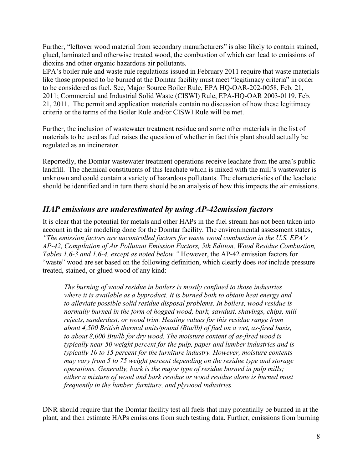Further, "leftover wood material from secondary manufacturers" is also likely to contain stained, glued, laminated and otherwise treated wood, the combustion of which can lead to emissions of dioxins and other organic hazardous air pollutants.

EPA's boiler rule and waste rule regulations issued in February 2011 require that waste materials like those proposed to be burned at the Domtar facility must meet "legitimacy criteria" in order to be considered as fuel. See, Major Source Boiler Rule, EPA HQ-OAR-202-0058, Feb. 21, 2011; Commercial and Industrial Solid Waste (CISWI) Rule, EPA-HQ-OAR 2003-0119, Feb. 21, 2011. The permit and application materials contain no discussion of how these legitimacy criteria or the terms of the Boiler Rule and/or CISWI Rule will be met.

Further, the inclusion of wastewater treatment residue and some other materials in the list of materials to be used as fuel raises the question of whether in fact this plant should actually be regulated as an incinerator.

Reportedly, the Domtar wastewater treatment operations receive leachate from the area's public landfill. The chemical constituents of this leachate which is mixed with the mill's wastewater is unknown and could contain a variety of hazardous pollutants. The characteristics of the leachate should be identified and in turn there should be an analysis of how this impacts the air emissions.

## *HAP emissions are underestimated by using AP-42emission factors*

It is clear that the potential for metals and other HAPs in the fuel stream has not been taken into account in the air modeling done for the Domtar facility. The environmental assessment states, *"The emission factors are uncontrolled factors for waste wood combustion in the U.S. EPA's AP-42, Compilation of Air Pollutant Emission Factors, 5th Edition, Wood Residue Combustion, Tables 1.6-3 and 1.6-4, except as noted below."* However, the AP-42 emission factors for "waste" wood are set based on the following definition, which clearly does *not* include pressure treated, stained, or glued wood of any kind:

*The burning of wood residue in boilers is mostly confined to those industries where it is available as a byproduct. It is burned both to obtain heat energy and to alleviate possible solid residue disposal problems. In boilers, wood residue is normally burned in the form of hogged wood, bark, sawdust, shavings, chips, mill rejects, sanderdust, or wood trim. Heating values for this residue range from about 4,500 British thermal units/pound (Btu/lb) of fuel on a wet, as-fired basis, to about 8,000 Btu/lb for dry wood. The moisture content of as-fired wood is typically near 50 weight percent for the pulp, paper and lumber industries and is typically 10 to 15 percent for the furniture industry. However, moisture contents may vary from 5 to 75 weight percent depending on the residue type and storage operations. Generally, bark is the major type of residue burned in pulp mills; either a mixture of wood and bark residue or wood residue alone is burned most frequently in the lumber, furniture, and plywood industries.* 

DNR should require that the Domtar facility test all fuels that may potentially be burned in at the plant, and then estimate HAPs emissions from such testing data. Further, emissions from burning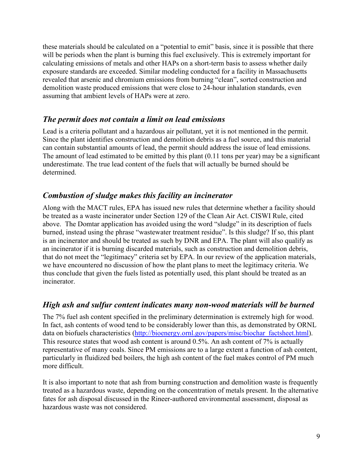these materials should be calculated on a "potential to emit" basis, since it is possible that there will be periods when the plant is burning this fuel exclusively. This is extremely important for calculating emissions of metals and other HAPs on a short-term basis to assess whether daily exposure standards are exceeded. Similar modeling conducted for a facility in Massachusetts revealed that arsenic and chromium emissions from burning "clean", sorted construction and demolition waste produced emissions that were close to 24-hour inhalation standards, even assuming that ambient levels of HAPs were at zero.

## *The permit does not contain a limit on lead emissions*

Lead is a criteria pollutant and a hazardous air pollutant, yet it is not mentioned in the permit. Since the plant identifies construction and demolition debris as a fuel source, and this material can contain substantial amounts of lead, the permit should address the issue of lead emissions. The amount of lead estimated to be emitted by this plant (0.11 tons per year) may be a significant underestimate. The true lead content of the fuels that will actually be burned should be determined.

# *Combustion of sludge makes this facility an incinerator*

Along with the MACT rules, EPA has issued new rules that determine whether a facility should be treated as a waste incinerator under Section 129 of the Clean Air Act. CISWI Rule, cited above. The Domtar application has avoided using the word "sludge" in its description of fuels burned, instead using the phrase "wastewater treatment residue". Is this sludge? If so, this plant is an incinerator and should be treated as such by DNR and EPA. The plant will also qualify as an incinerator if it is burning discarded materials, such as construction and demolition debris, that do not meet the "legitimacy" criteria set by EPA. In our review of the application materials, we have encountered no discussion of how the plant plans to meet the legitimacy criteria. We thus conclude that given the fuels listed as potentially used, this plant should be treated as an incinerator.

# *High ash and sulfur content indicates many non-wood materials will be burned*

The 7% fuel ash content specified in the preliminary determination is extremely high for wood. In fact, ash contents of wood tend to be considerably lower than this, as demonstrated by ORNL data on biofuels characteristics (http://bioenergy.ornl.gov/papers/misc/biochar\_factsheet.html). This resource states that wood ash content is around 0.5%. An ash content of 7% is actually representative of many coals. Since PM emissions are to a large extent a function of ash content, particularly in fluidized bed boilers, the high ash content of the fuel makes control of PM much more difficult.

It is also important to note that ash from burning construction and demolition waste is frequently treated as a hazardous waste, depending on the concentration of metals present. In the alternative fates for ash disposal discussed in the Rineer-authored environmental assessment, disposal as hazardous waste was not considered.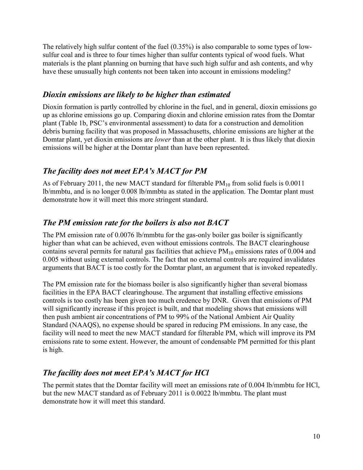The relatively high sulfur content of the fuel (0.35%) is also comparable to some types of lowsulfur coal and is three to four times higher than sulfur contents typical of wood fuels. What materials is the plant planning on burning that have such high sulfur and ash contents, and why have these unusually high contents not been taken into account in emissions modeling?

# *Dioxin emissions are likely to be higher than estimated*

Dioxin formation is partly controlled by chlorine in the fuel, and in general, dioxin emissions go up as chlorine emissions go up. Comparing dioxin and chlorine emission rates from the Domtar plant (Table 1b, PSC's environmental assessment) to data for a construction and demolition debris burning facility that was proposed in Massachusetts, chlorine emissions are higher at the Domtar plant, yet dioxin emissions are *lower* than at the other plant. It is thus likely that dioxin emissions will be higher at the Domtar plant than have been represented.

# *The facility does not meet EPA's MACT for PM*

As of February 2011, the new MACT standard for filterable  $PM_{10}$  from solid fuels is 0.0011 lb/mmbtu, and is no longer 0.008 lb/mmbtu as stated in the application. The Domtar plant must demonstrate how it will meet this more stringent standard.

# *The PM emission rate for the boilers is also not BACT*

The PM emission rate of 0.0076 lb/mmbtu for the gas-only boiler gas boiler is significantly higher than what can be achieved, even without emissions controls. The BACT clearinghouse contains several permits for natural gas facilities that achieve  $PM_{10}$  emissions rates of 0.004 and 0.005 without using external controls. The fact that no external controls are required invalidates arguments that BACT is too costly for the Domtar plant, an argument that is invoked repeatedly.

The PM emission rate for the biomass boiler is also significantly higher than several biomass facilities in the EPA BACT clearinghouse. The argument that installing effective emissions controls is too costly has been given too much credence by DNR. Given that emissions of PM will significantly increase if this project is built, and that modeling shows that emissions will then push ambient air concentrations of PM to 99% of the National Ambient Air Quality Standard (NAAQS), no expense should be spared in reducing PM emissions. In any case, the facility will need to meet the new MACT standard for filterable PM, which will improve its PM emissions rate to some extent. However, the amount of condensable PM permitted for this plant is high.

# *The facility does not meet EPA's MACT for HCl*

The permit states that the Domtar facility will meet an emissions rate of 0.004 lb/mmbtu for HCl, but the new MACT standard as of February 2011 is 0.0022 lb/mmbtu. The plant must demonstrate how it will meet this standard.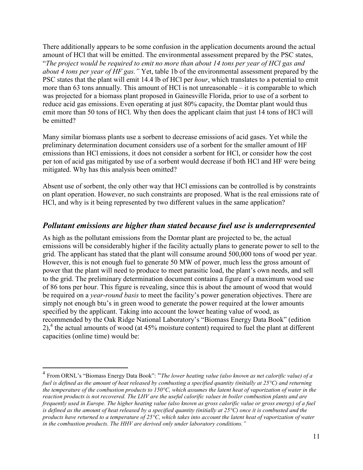There additionally appears to be some confusion in the application documents around the actual amount of HCl that will be emitted. The environmental assessment prepared by the PSC states, "*The project would be required to emit no more than about 14 tons per year of HCl gas and about 4 tons per year of HF gas."* Yet, table 1b of the environmental assessment prepared by the PSC states that the plant will emit 14.4 lb of HCl per *hour*, which translates to a potential to emit more than 63 tons annually. This amount of HCl is not unreasonable – it is comparable to which was projected for a biomass plant proposed in Gainesville Florida, prior to use of a sorbent to reduce acid gas emissions. Even operating at just 80% capacity, the Domtar plant would thus emit more than 50 tons of HCl. Why then does the applicant claim that just 14 tons of HCl will be emitted?

Many similar biomass plants use a sorbent to decrease emissions of acid gases. Yet while the preliminary determination document considers use of a sorbent for the smaller amount of HF emissions than HCl emissions, it does not consider a sorbent for HCl, or consider how the cost per ton of acid gas mitigated by use of a sorbent would decrease if both HCl and HF were being mitigated. Why has this analysis been omitted?

Absent use of sorbent, the only other way that HCl emissions can be controlled is by constraints on plant operation. However, no such constraints are proposed. What is the real emissions rate of HCl, and why is it being represented by two different values in the same application?

## *Pollutant emissions are higher than stated because fuel use is underrepresented*

As high as the pollutant emissions from the Domtar plant are projected to be, the actual emissions will be considerably higher if the facility actually plans to generate power to sell to the grid. The applicant has stated that the plant will consume around 500,000 tons of wood per year. However, this is not enough fuel to generate 50 MW of power, much less the gross amount of power that the plant will need to produce to meet parasitic load, the plant's own needs, and sell to the grid. The preliminary determination document contains a figure of a maximum wood use of 86 tons per hour. This figure is revealing, since this is about the amount of wood that would be required on a *year-round basis* to meet the facility's power generation objectives. There are simply not enough btu's in green wood to generate the power required at the lower amounts specified by the applicant. Taking into account the lower heating value of wood, as recommended by the Oak Ridge National Laboratory's "Biomass Energy Data Book" (edition  $2$ ),<sup>4</sup> the actual amounts of wood (at 45% moisture content) required to fuel the plant at different capacities (online time) would be:

<u>.</u>

<sup>4</sup> From ORNL's "Biomass Energy Data Book": "*The lower heating value (also known as net calorific value) of a fuel is defined as the amount of heat released by combusting a specified quantity (initially at 25°C) and returning the temperature of the combustion products to 150°C, which assumes the latent heat of vaporization of water in the reaction products is not recovered. The LHV are the useful calorific values in boiler combustion plants and are frequently used in Europe. The higher heating value (also known as gross calorific value or gross energy) of a fuel is defined as the amount of heat released by a specified quantity (initially at 25°C) once it is combusted and the products have returned to a temperature of 25°C, which takes into account the latent heat of vaporization of water in the combustion products. The HHV are derived only under laboratory conditions."*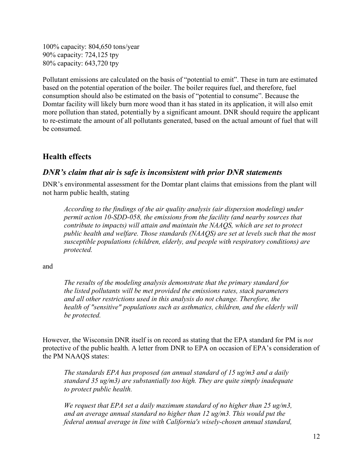100% capacity: 804,650 tons/year 90% capacity: 724,125 tpy 80% capacity: 643,720 tpy

Pollutant emissions are calculated on the basis of "potential to emit". These in turn are estimated based on the potential operation of the boiler. The boiler requires fuel, and therefore, fuel consumption should also be estimated on the basis of "potential to consume". Because the Domtar facility will likely burn more wood than it has stated in its application, it will also emit more pollution than stated, potentially by a significant amount. DNR should require the applicant to re-estimate the amount of all pollutants generated, based on the actual amount of fuel that will be consumed.

# **Health effects**

## *DNR's claim that air is safe is inconsistent with prior DNR statements*

DNR's environmental assessment for the Domtar plant claims that emissions from the plant will not harm public health, stating

*According to the findings of the air quality analysis (air dispersion modeling) under permit action 10-SDD-058, the emissions from the facility (and nearby sources that contribute to impacts) will attain and maintain the NAAQS, which are set to protect public health and welfare. Those standards (NAAQS) are set at levels such that the most susceptible populations (children, elderly, and people with respiratory conditions) are protected.* 

and

*The results of the modeling analysis demonstrate that the primary standard for the listed pollutants will be met provided the emissions rates, stack parameters and all other restrictions used in this analysis do not change. Therefore, the health of "sensitive" populations such as asthmatics, children, and the elderly will be protected.* 

However, the Wisconsin DNR itself is on record as stating that the EPA standard for PM is *not* protective of the public health. A letter from DNR to EPA on occasion of EPA's consideration of the PM NAAQS states:

*The standards EPA has proposed (an annual standard of 15 ug/m3 and a daily standard 35 ug/m3) are substantially too high. They are quite simply inadequate to protect public health.* 

*We request that EPA set a daily maximum standard of no higher than 25 ug/m3, and an average annual standard no higher than 12 ug/m3. This would put the federal annual average in line with California's wisely-chosen annual standard,*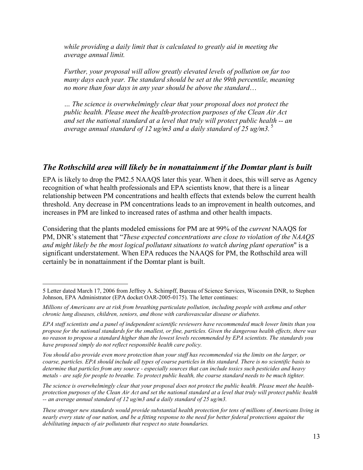*while providing a daily limit that is calculated to greatly aid in meeting the average annual limit.* 

*Further, your proposal will allow greatly elevated levels of pollution on far too many days each year. The standard should be set at the 99th percentile, meaning no more than four days in any year should be above the standard*…

*… The science is overwhelmingly clear that your proposal does not protect the public health. Please meet the health-protection purposes of the Clean Air Act and set the national standard at a level that truly will protect public health -- an average annual standard of 12 ug/m3 and a daily standard of 25 ug/m3.*<sup>5</sup>

### *The Rothschild area will likely be in nonattainment if the Domtar plant is built*

EPA is likely to drop the PM2.5 NAAQS later this year. When it does, this will serve as Agency recognition of what health professionals and EPA scientists know, that there is a linear relationship between PM concentrations and health effects that extends below the current health threshold. Any decrease in PM concentrations leads to an improvement in health outcomes, and increases in PM are linked to increased rates of asthma and other health impacts.

Considering that the plants modeled emissions for PM are at 99% of the *current* NAAQS for PM, DNR's statement that "*These expected concentrations are close to violation of the NAAQS and might likely be the most logical pollutant situations to watch during plant operation*" is a significant understatement. When EPA reduces the NAAQS for PM, the Rothschild area will certainly be in nonattainment if the Domtar plant is built.

<u>.</u>

*You should also provide even more protection than your staff has recommended via the limits on the larger, or coarse, particles. EPA should include all types of coarse particles in this standard. There is no scientific basis to determine that particles from any source - especially sources that can include toxics such pesticides and heavy metals - are safe for people to breathe. To protect public health, the coarse standard needs to be much tighter.* 

*The science is overwhelmingly clear that your proposal does not protect the public health. Please meet the healthprotection purposes of the Clean Air Act and set the national standard at a level that truly will protect public health -- an average annual standard of 12 ug/m3 and a daily standard of 25 ug/m3.* 

<sup>5</sup> Letter dated March 17, 2006 from Jeffrey A. Schimpff, Bureau of Science Services, Wisconsin DNR, to Stephen Johnson, EPA Administrator (EPA docket OAR-2005-0175). The letter continues:

*Millions of Americans are at risk from breathing particulate pollution, including people with asthma and other chronic lung diseases, children, seniors, and those with cardiovascular disease or diabetes.* 

*EPA staff scientists and a panel of independent scientific reviewers have recommended much lower limits than you propose for the national standards for the smallest, or fine, particles. Given the dangerous health effects, there was no reason to propose a standard higher than the lowest levels recommended by EPA scientists. The standards you have proposed simply do not reflect responsible health care policy.* 

*These stronger new standards would provide substantial health protection for tens of millions of Americans living in nearly every state of our nation, and be a fitting response to the need for better federal protections against the debilitating impacts of air pollutants that respect no state boundaries.*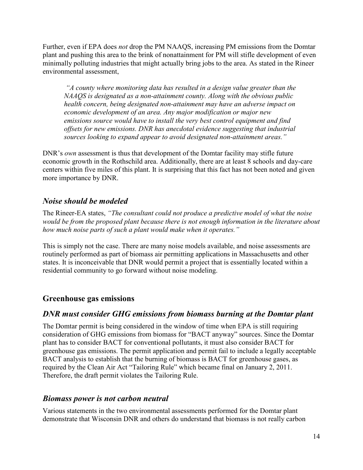Further, even if EPA does *not* drop the PM NAAQS, increasing PM emissions from the Domtar plant and pushing this area to the brink of nonattainment for PM will stifle development of even minimally polluting industries that might actually bring jobs to the area. As stated in the Rineer environmental assessment,

 *"A county where monitoring data has resulted in a design value greater than the NAAQS is designated as a non-attainment county. Along with the obvious public health concern, being designated non-attainment may have an adverse impact on economic development of an area. Any major modification or major new emissions source would have to install the very best control equipment and find offsets for new emissions. DNR has anecdotal evidence suggesting that industrial sources looking to expand appear to avoid designated non-attainment areas."*

DNR's *own* assessment is thus that development of the Domtar facility may stifle future economic growth in the Rothschild area. Additionally, there are at least 8 schools and day-care centers within five miles of this plant. It is surprising that this fact has not been noted and given more importance by DNR.

# *Noise should be modeled*

The Rineer-EA states, *"The consultant could not produce a predictive model of what the noise would be from the proposed plant because there is not enough information in the literature about how much noise parts of such a plant would make when it operates."* 

This is simply not the case. There are many noise models available, and noise assessments are routinely performed as part of biomass air permitting applications in Massachusetts and other states. It is inconceivable that DNR would permit a project that is essentially located within a residential community to go forward without noise modeling.

### **Greenhouse gas emissions**

### *DNR must consider GHG emissions from biomass burning at the Domtar plant*

The Domtar permit is being considered in the window of time when EPA is still requiring consideration of GHG emissions from biomass for "BACT anyway" sources. Since the Domtar plant has to consider BACT for conventional pollutants, it must also consider BACT for greenhouse gas emissions. The permit application and permit fail to include a legally acceptable BACT analysis to establish that the burning of biomass is BACT for greenhouse gases, as required by the Clean Air Act "Tailoring Rule" which became final on January 2, 2011. Therefore, the draft permit violates the Tailoring Rule.

### *Biomass power is not carbon neutral*

Various statements in the two environmental assessments performed for the Domtar plant demonstrate that Wisconsin DNR and others do understand that biomass is not really carbon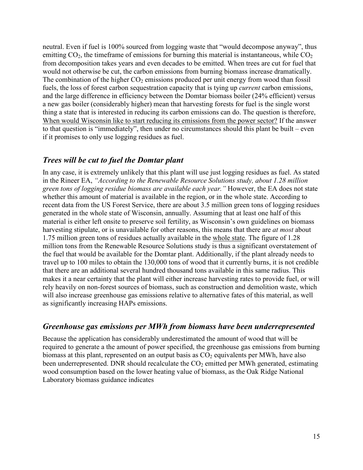neutral. Even if fuel is 100% sourced from logging waste that "would decompose anyway", thus emitting  $CO<sub>2</sub>$ , the timeframe of emissions for burning this material is instantaneous, while  $CO<sub>2</sub>$ from decomposition takes years and even decades to be emitted. When trees are cut for fuel that would not otherwise be cut, the carbon emissions from burning biomass increase dramatically. The combination of the higher  $CO<sub>2</sub>$  emissions produced per unit energy from wood than fossil fuels, the loss of forest carbon sequestration capacity that is tying up *current* carbon emissions, and the large difference in efficiency between the Domtar biomass boiler (24% efficient) versus a new gas boiler (considerably higher) mean that harvesting forests for fuel is the single worst thing a state that is interested in reducing its carbon emissions can do. The question is therefore, When would Wisconsin like to start reducing its emissions from the power sector? If the answer to that question is "immediately", then under no circumstances should this plant be built – even if it promises to only use logging residues as fuel.

#### *Trees will be cut to fuel the Domtar plant*

In any case, it is extremely unlikely that this plant will use just logging residues as fuel. As stated in the Rineer EA, *"According to the Renewable Resource Solutions study, about 1.28 million green tons of logging residue biomass are available each year."* However, the EA does not state whether this amount of material is available in the region, or in the whole state. According to recent data from the US Forest Service, there are about 3.5 million green tons of logging residues generated in the whole state of Wisconsin, annually. Assuming that at least one half of this material is either left onsite to preserve soil fertility, as Wisconsin's own guidelines on biomass harvesting stipulate, or is unavailable for other reasons, this means that there are *at most* about 1.75 million green tons of residues actually available in the whole state. The figure of 1.28 million tons from the Renewable Resource Solutions study is thus a significant overstatement of the fuel that would be available for the Domtar plant. Additionally, if the plant already needs to travel up to 100 miles to obtain the 130,000 tons of wood that it currently burns, it is not credible that there are an additional several hundred thousand tons available in this same radius. This makes it a near certainty that the plant will either increase harvesting rates to provide fuel, or will rely heavily on non-forest sources of biomass, such as construction and demolition waste, which will also increase greenhouse gas emissions relative to alternative fates of this material, as well as significantly increasing HAPs emissions.

#### *Greenhouse gas emissions per MWh from biomass have been underrepresented*

Because the application has considerably underestimated the amount of wood that will be required to generate a the amount of power specified, the greenhouse gas emissions from burning biomass at this plant, represented on an output basis as  $CO<sub>2</sub>$  equivalents per MWh, have also been underrepresented. DNR should recalculate the  $CO<sub>2</sub>$  emitted per MWh generated, estimating wood consumption based on the lower heating value of biomass, as the Oak Ridge National Laboratory biomass guidance indicates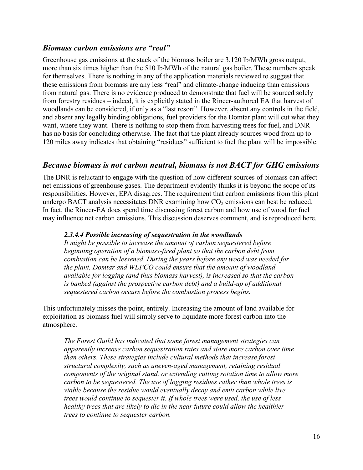### *Biomass carbon emissions are "real"*

Greenhouse gas emissions at the stack of the biomass boiler are 3,120 lb/MWh gross output, more than six times higher than the 510 lb/MWh of the natural gas boiler. These numbers speak for themselves. There is nothing in any of the application materials reviewed to suggest that these emissions from biomass are any less "real" and climate-change inducing than emissions from natural gas. There is no evidence produced to demonstrate that fuel will be sourced solely from forestry residues – indeed, it is explicitly stated in the Rineer-authored EA that harvest of woodlands can be considered, if only as a "last resort". However, absent any controls in the field, and absent any legally binding obligations, fuel providers for the Domtar plant will cut what they want, where they want. There is nothing to stop them from harvesting trees for fuel, and DNR has no basis for concluding otherwise. The fact that the plant already sources wood from up to 120 miles away indicates that obtaining "residues" sufficient to fuel the plant will be impossible.

### *Because biomass is not carbon neutral, biomass is not BACT for GHG emissions*

The DNR is reluctant to engage with the question of how different sources of biomass can affect net emissions of greenhouse gases. The department evidently thinks it is beyond the scope of its responsibilities. However, EPA disagrees. The requirement that carbon emissions from this plant undergo BACT analysis necessitates DNR examining how  $CO<sub>2</sub>$  emissions can best be reduced. In fact, the Rineer-EA does spend time discussing forest carbon and how use of wood for fuel may influence net carbon emissions. This discussion deserves comment, and is reproduced here.

#### *2.3.4.4 Possible increasing of sequestration in the woodlands*

*It might be possible to increase the amount of carbon sequestered before beginning operation of a biomass-fired plant so that the carbon debt from combustion can be lessened. During the years before any wood was needed for the plant, Domtar and WEPCO could ensure that the amount of woodland available for logging (and thus biomass harvest), is increased so that the carbon is banked (against the prospective carbon debt) and a build-up of additional sequestered carbon occurs before the combustion process begins.* 

This unfortunately misses the point, entirely. Increasing the amount of land available for exploitation as biomass fuel will simply serve to liquidate more forest carbon into the atmosphere.

*The Forest Guild has indicated that some forest management strategies can apparently increase carbon sequestration rates and store more carbon over time than others. These strategies include cultural methods that increase forest structural complexity, such as uneven-aged management, retaining residual components of the original stand, or extending cutting rotation time to allow more carbon to be sequestered. The use of logging residues rather than whole trees is viable because the residue would eventually decay and emit carbon while live trees would continue to sequester it. If whole trees were used, the use of less healthy trees that are likely to die in the near future could allow the healthier trees to continue to sequester carbon.*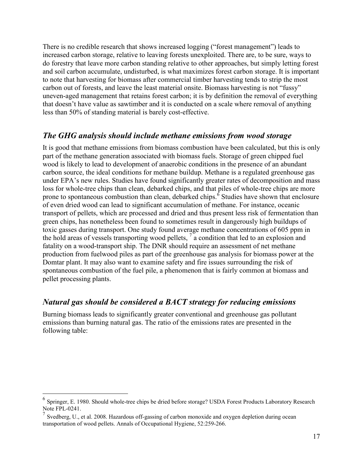There is no credible research that shows increased logging ("forest management") leads to increased carbon storage, relative to leaving forests unexploited. There are, to be sure, ways to do forestry that leave more carbon standing relative to other approaches, but simply letting forest and soil carbon accumulate, undisturbed, is what maximizes forest carbon storage. It is important to note that harvesting for biomass after commercial timber harvesting tends to strip the most carbon out of forests, and leave the least material onsite. Biomass harvesting is not "fussy" uneven-aged management that retains forest carbon; it is by definition the removal of everything that doesn't have value as sawtimber and it is conducted on a scale where removal of anything less than 50% of standing material is barely cost-effective.

### *The GHG analysis should include methane emissions from wood storage*

It is good that methane emissions from biomass combustion have been calculated, but this is only part of the methane generation associated with biomass fuels. Storage of green chipped fuel wood is likely to lead to development of anaerobic conditions in the presence of an abundant carbon source, the ideal conditions for methane buildup. Methane is a regulated greenhouse gas under EPA's new rules. Studies have found significantly greater rates of decomposition and mass loss for whole-tree chips than clean, debarked chips, and that piles of whole-tree chips are more prone to spontaneous combustion than clean, debarked chips.<sup>6</sup> Studies have shown that enclosure of even dried wood can lead to significant accumulation of methane. For instance, oceanic transport of pellets, which are processed and dried and thus present less risk of fermentation than green chips, has nonetheless been found to sometimes result in dangerously high buildups of toxic gasses during transport. One study found average methane concentrations of 605 ppm in the hold areas of vessels transporting wood pellets, <sup>7</sup> a condition that led to an explosion and fatality on a wood-transport ship. The DNR should require an assessment of net methane production from fuelwood piles as part of the greenhouse gas analysis for biomass power at the Domtar plant. It may also want to examine safety and fire issues surrounding the risk of spontaneous combustion of the fuel pile, a phenomenon that is fairly common at biomass and pellet processing plants.

#### *Natural gas should be considered a BACT strategy for reducing emissions*

Burning biomass leads to significantly greater conventional and greenhouse gas pollutant emissions than burning natural gas. The ratio of the emissions rates are presented in the following table:

-

<sup>&</sup>lt;sup>6</sup> Springer, E. 1980. Should whole-tree chips be dried before storage? USDA Forest Products Laboratory Research Note FPL-0241.

 $<sup>7</sup>$  Svedberg, U., et al. 2008. Hazardous off-gassing of carbon monoxide and oxygen depletion during ocean</sup> transportation of wood pellets. Annals of Occupational Hygiene, 52:259-266.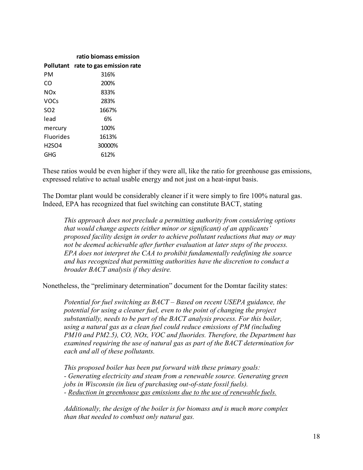|                  | ratio biomass emission              |
|------------------|-------------------------------------|
|                  | Pollutant rate to gas emission rate |
| PМ               | 316%                                |
| CO               | 200%                                |
| <b>NOx</b>       | 833%                                |
| <b>VOCs</b>      | 283%                                |
| SO <sub>2</sub>  | 1667%                               |
| lead             | 6%                                  |
| mercury          | 100%                                |
| <b>Fluorides</b> | 1613%                               |
| <b>H2SO4</b>     | 30000%                              |
| GHG              | 612%                                |

These ratios would be even higher if they were all, like the ratio for greenhouse gas emissions, expressed relative to actual usable energy and not just on a heat-input basis.

The Domtar plant would be considerably cleaner if it were simply to fire 100% natural gas. Indeed, EPA has recognized that fuel switching can constitute BACT, stating

*This approach does not preclude a permitting authority from considering options that would change aspects (either minor or significant) of an applicants' proposed facility design in order to achieve pollutant reductions that may or may not be deemed achievable after further evaluation at later steps of the process. EPA does not interpret the CAA to prohibit fundamentally redefining the source and has recognized that permitting authorities have the discretion to conduct a broader BACT analysis if they desire.* 

Nonetheless, the "preliminary determination" document for the Domtar facility states:

*Potential for fuel switching as BACT – Based on recent USEPA guidance, the potential for using a cleaner fuel, even to the point of changing the project substantially, needs to be part of the BACT analysis process. For this boiler, using a natural gas as a clean fuel could reduce emissions of PM (including PM10 and PM2.5), CO, NOx, VOC and fluorides. Therefore, the Department has examined requiring the use of natural gas as part of the BACT determination for each and all of these pollutants.* 

*This proposed boiler has been put forward with these primary goals: - Generating electricity and steam from a renewable source. Generating green jobs in Wisconsin (in lieu of purchasing out-of-state fossil fuels). - Reduction in greenhouse gas emissions due to the use of renewable fuels.*

*Additionally, the design of the boiler is for biomass and is much more complex than that needed to combust only natural gas.*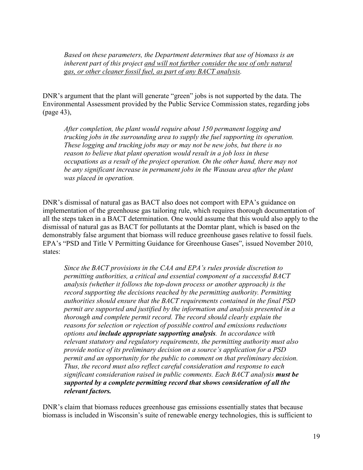*Based on these parameters, the Department determines that use of biomass is an inherent part of this project and will not further consider the use of only natural gas, or other cleaner fossil fuel, as part of any BACT analysis.* 

DNR's argument that the plant will generate "green" jobs is not supported by the data. The Environmental Assessment provided by the Public Service Commission states, regarding jobs (page 43),

*After completion, the plant would require about 150 permanent logging and trucking jobs in the surrounding area to supply the fuel supporting its operation. These logging and trucking jobs may or may not be new jobs, but there is no reason to believe that plant operation would result in a job loss in these occupations as a result of the project operation. On the other hand, there may not be any significant increase in permanent jobs in the Wausau area after the plant was placed in operation.*

DNR's dismissal of natural gas as BACT also does not comport with EPA's guidance on implementation of the greenhouse gas tailoring rule, which requires thorough documentation of all the steps taken in a BACT determination. One would assume that this would also apply to the dismissal of natural gas as BACT for pollutants at the Domtar plant, which is based on the demonstrably false argument that biomass will reduce greenhouse gases relative to fossil fuels. EPA's "PSD and Title V Permitting Guidance for Greenhouse Gases", issued November 2010, states:

*Since the BACT provisions in the CAA and EPA's rules provide discretion to permitting authorities, a critical and essential component of a successful BACT analysis (whether it follows the top-down process or another approach) is the record supporting the decisions reached by the permitting authority. Permitting authorities should ensure that the BACT requirements contained in the final PSD permit are supported and justified by the information and analysis presented in a thorough and complete permit record. The record should clearly explain the reasons for selection or rejection of possible control and emissions reductions options and include appropriate supporting analysis. In accordance with relevant statutory and regulatory requirements, the permitting authority must also provide notice of its preliminary decision on a source's application for a PSD permit and an opportunity for the public to comment on that preliminary decision. Thus, the record must also reflect careful consideration and response to each significant consideration raised in public comments. Each BACT analysis must be supported by a complete permitting record that shows consideration of all the relevant factors.*

DNR's claim that biomass reduces greenhouse gas emissions essentially states that because biomass is included in Wisconsin's suite of renewable energy technologies, this is sufficient to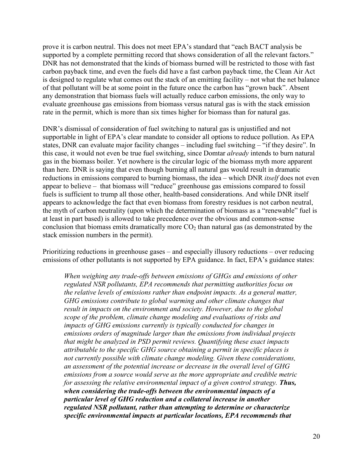prove it is carbon neutral. This does not meet EPA's standard that "each BACT analysis be supported by a complete permitting record that shows consideration of all the relevant factors." DNR has not demonstrated that the kinds of biomass burned will be restricted to those with fast carbon payback time, and even the fuels did have a fast carbon payback time, the Clean Air Act is designed to regulate what comes out the stack of an emitting facility – not what the net balance of that pollutant will be at some point in the future once the carbon has "grown back". Absent any demonstration that biomass fuels will actually reduce carbon emissions, the only way to evaluate greenhouse gas emissions from biomass versus natural gas is with the stack emission rate in the permit, which is more than six times higher for biomass than for natural gas.

DNR's dismissal of consideration of fuel switching to natural gas is unjustified and not supportable in light of EPA's clear mandate to consider all options to reduce pollution. As EPA states, DNR can evaluate major facility changes – including fuel switching – "if they desire". In this case, it would not even be true fuel switching, since Domtar *already* intends to burn natural gas in the biomass boiler. Yet nowhere is the circular logic of the biomass myth more apparent than here. DNR is saying that even though burning all natural gas would result in dramatic reductions in emissions compared to burning biomass, the idea – which DNR *itself* does not even appear to believe – that biomass will "reduce" greenhouse gas emissions compared to fossil fuels is sufficient to trump all those other, health-based considerations. And while DNR itself appears to acknowledge the fact that even biomass from forestry residues is not carbon neutral, the myth of carbon neutrality (upon which the determination of biomass as a "renewable" fuel is at least in part based) is allowed to take precedence over the obvious and common-sense conclusion that biomass emits dramatically more  $CO<sub>2</sub>$  than natural gas (as demonstrated by the stack emission numbers in the permit).

Prioritizing reductions in greenhouse gases – and especially illusory reductions – over reducing emissions of other pollutants is not supported by EPA guidance. In fact, EPA's guidance states:

*When weighing any trade-offs between emissions of GHGs and emissions of other regulated NSR pollutants, EPA recommends that permitting authorities focus on the relative levels of emissions rather than endpoint impacts. As a general matter, GHG emissions contribute to global warming and other climate changes that result in impacts on the environment and society. However, due to the global scope of the problem, climate change modeling and evaluations of risks and impacts of GHG emissions currently is typically conducted for changes in emissions orders of magnitude larger than the emissions from individual projects that might be analyzed in PSD permit reviews. Quantifying these exact impacts attributable to the specific GHG source obtaining a permit in specific places is not currently possible with climate change modeling. Given these considerations, an assessment of the potential increase or decrease in the overall level of GHG emissions from a source would serve as the more appropriate and credible metric for assessing the relative environmental impact of a given control strategy. Thus, when considering the trade-offs between the environmental impacts of a particular level of GHG reduction and a collateral increase in another regulated NSR pollutant, rather than attempting to determine or characterize specific environmental impacts at particular locations, EPA recommends that*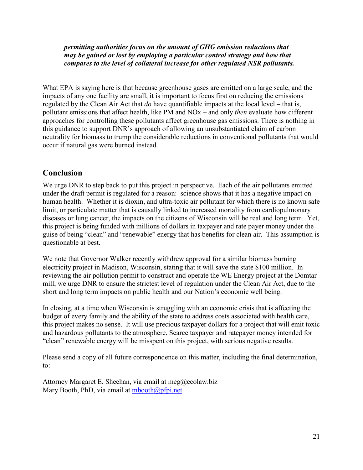*permitting authorities focus on the amount of GHG emission reductions that may be gained or lost by employing a particular control strategy and how that compares to the level of collateral increase for other regulated NSR pollutants.*

What EPA is saying here is that because greenhouse gases are emitted on a large scale, and the impacts of any one facility are small, it is important to focus first on reducing the emissions regulated by the Clean Air Act that *do* have quantifiable impacts at the local level – that is, pollutant emissions that affect health, like PM and NOx – and only *then* evaluate how different approaches for controlling these pollutants affect greenhouse gas emissions. There is nothing in this guidance to support DNR's approach of allowing an unsubstantiated claim of carbon neutrality for biomass to trump the considerable reductions in conventional pollutants that would occur if natural gas were burned instead.

### **Conclusion**

We urge DNR to step back to put this project in perspective. Each of the air pollutants emitted under the draft permit is regulated for a reason: science shows that it has a negative impact on human health. Whether it is dioxin, and ultra-toxic air pollutant for which there is no known safe limit, or particulate matter that is causally linked to increased mortality from cardiopulmonary diseases or lung cancer, the impacts on the citizens of Wisconsin will be real and long term. Yet, this project is being funded with millions of dollars in taxpayer and rate payer money under the guise of being "clean" and "renewable" energy that has benefits for clean air. This assumption is questionable at best.

We note that Governor Walker recently withdrew approval for a similar biomass burning electricity project in Madison, Wisconsin, stating that it will save the state \$100 million. In reviewing the air pollution permit to construct and operate the WE Energy project at the Domtar mill, we urge DNR to ensure the strictest level of regulation under the Clean Air Act, due to the short and long term impacts on public health and our Nation's economic well being.

In closing, at a time when Wisconsin is struggling with an economic crisis that is affecting the budget of every family and the ability of the state to address costs associated with health care, this project makes no sense. It will use precious taxpayer dollars for a project that will emit toxic and hazardous pollutants to the atmosphere. Scarce taxpayer and ratepayer money intended for "clean" renewable energy will be misspent on this project, with serious negative results.

Please send a copy of all future correspondence on this matter, including the final determination, to:

Attorney Margaret E. Sheehan, via email at meg@ecolaw.biz Mary Booth, PhD, via email at mbooth@pfpi.net